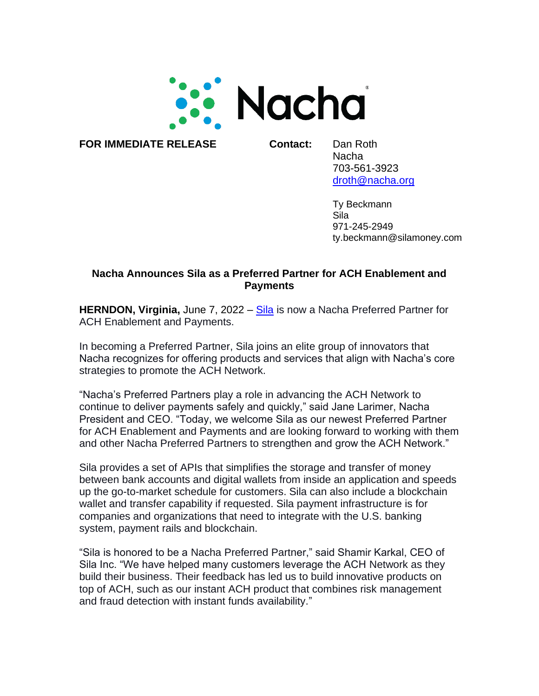

**FOR IMMEDIATE RELEASE Contact:** Dan Roth

Nacha 703-561-3923 [droth@nacha.org](mailto:droth@nacha.org)

Ty Beckmann Sila 971-245-2949 ty.beckmann@silamoney.com

## **Nacha Announces Sila as a Preferred Partner for ACH Enablement and Payments**

**HERNDON, Virginia,** June 7, 2022 – [Sila](https://silamoney.com/) is now a Nacha Preferred Partner for ACH Enablement and Payments.

In becoming a Preferred Partner, Sila joins an elite group of innovators that Nacha recognizes for offering products and services that align with Nacha's core strategies to promote the ACH Network.

"Nacha's Preferred Partners play a role in advancing the ACH Network to continue to deliver payments safely and quickly," said Jane Larimer, Nacha President and CEO. "Today, we welcome Sila as our newest Preferred Partner for ACH Enablement and Payments and are looking forward to working with them and other Nacha Preferred Partners to strengthen and grow the ACH Network."

Sila provides a set of APIs that simplifies the storage and transfer of money between bank accounts and digital wallets from inside an application and speeds up the go-to-market schedule for customers. Sila can also include a blockchain wallet and transfer capability if requested. Sila payment infrastructure is for companies and organizations that need to integrate with the U.S. banking system, payment rails and blockchain.

"Sila is honored to be a Nacha Preferred Partner," said Shamir Karkal, CEO of Sila Inc. "We have helped many customers leverage the ACH Network as they build their business. Their feedback has led us to build innovative products on top of ACH, such as our instant ACH product that combines risk management and fraud detection with instant funds availability."